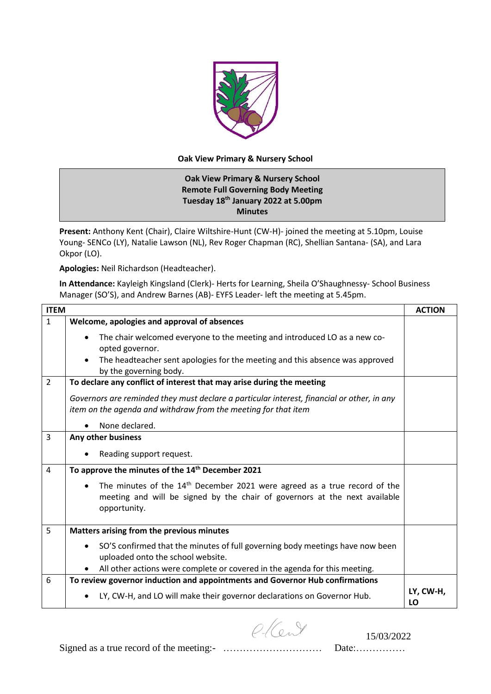

## **Oak View Primary & Nursery School**

## **Oak View Primary & Nursery School Remote Full Governing Body Meeting Tuesday 18th January 2022 at 5.00pm Minutes**

Present: Anthony Kent (Chair), Claire Wiltshire-Hunt (CW-H)- joined the meeting at 5.10pm, Louise Young- SENCo (LY), Natalie Lawson (NL), Rev Roger Chapman (RC), Shellian Santana- (SA), and Lara Okpor (LO).

**Apologies:** Neil Richardson (Headteacher).

**In Attendance:** Kayleigh Kingsland (Clerk)- Herts for Learning, Sheila O'Shaughnessy- School Business Manager (SO'S), and Andrew Barnes (AB)- EYFS Leader- left the meeting at 5.45pm.

| <b>ITEM</b>    |                                                                                                                                                                                        | <b>ACTION</b>   |
|----------------|----------------------------------------------------------------------------------------------------------------------------------------------------------------------------------------|-----------------|
| $\mathbf{1}$   | Welcome, apologies and approval of absences                                                                                                                                            |                 |
|                | The chair welcomed everyone to the meeting and introduced LO as a new co-<br>opted governor.                                                                                           |                 |
|                | The headteacher sent apologies for the meeting and this absence was approved<br>$\bullet$<br>by the governing body.                                                                    |                 |
| $\overline{2}$ | To declare any conflict of interest that may arise during the meeting                                                                                                                  |                 |
|                | Governors are reminded they must declare a particular interest, financial or other, in any<br>item on the agenda and withdraw from the meeting for that item                           |                 |
|                | None declared.                                                                                                                                                                         |                 |
| $\overline{3}$ | Any other business                                                                                                                                                                     |                 |
|                | Reading support request.                                                                                                                                                               |                 |
| 4              | To approve the minutes of the 14 <sup>th</sup> December 2021                                                                                                                           |                 |
|                | The minutes of the $14th$ December 2021 were agreed as a true record of the<br>$\bullet$<br>meeting and will be signed by the chair of governors at the next available<br>opportunity. |                 |
| 5              | Matters arising from the previous minutes                                                                                                                                              |                 |
|                | SO'S confirmed that the minutes of full governing body meetings have now been<br>uploaded onto the school website.                                                                     |                 |
|                | All other actions were complete or covered in the agenda for this meeting.                                                                                                             |                 |
| 6              | To review governor induction and appointments and Governor Hub confirmations                                                                                                           |                 |
|                | LY, CW-H, and LO will make their governor declarations on Governor Hub.                                                                                                                | LY, CW-H,<br>LO |

 $e$ - $($ ent 15/03/2022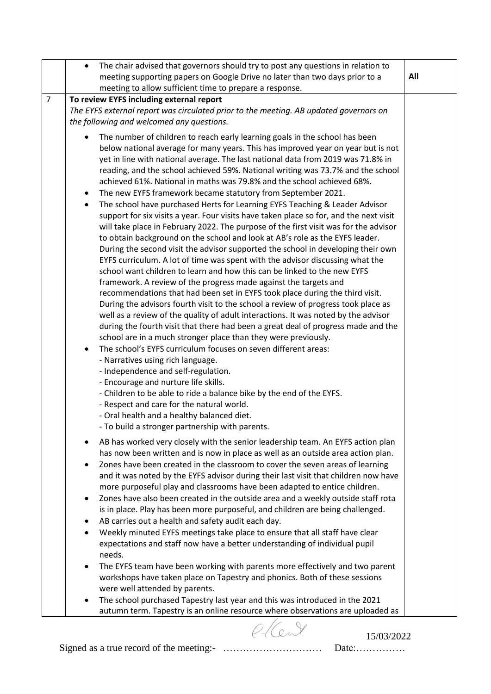|                | The chair advised that governors should try to post any questions in relation to              |     |
|----------------|-----------------------------------------------------------------------------------------------|-----|
|                | meeting supporting papers on Google Drive no later than two days prior to a                   | All |
|                | meeting to allow sufficient time to prepare a response.                                       |     |
| $\overline{7}$ | To review EYFS including external report                                                      |     |
|                | The EYFS external report was circulated prior to the meeting. AB updated governors on         |     |
|                | the following and welcomed any questions.                                                     |     |
|                | The number of children to reach early learning goals in the school has been                   |     |
|                | below national average for many years. This has improved year on year but is not              |     |
|                | yet in line with national average. The last national data from 2019 was 71.8% in              |     |
|                | reading, and the school achieved 59%. National writing was 73.7% and the school               |     |
|                | achieved 61%. National in maths was 79.8% and the school achieved 68%.                        |     |
|                | The new EYFS framework became statutory from September 2021.<br>٠                             |     |
|                | The school have purchased Herts for Learning EYFS Teaching & Leader Advisor<br>$\bullet$      |     |
|                | support for six visits a year. Four visits have taken place so for, and the next visit        |     |
|                | will take place in February 2022. The purpose of the first visit was for the advisor          |     |
|                | to obtain background on the school and look at AB's role as the EYFS leader.                  |     |
|                | During the second visit the advisor supported the school in developing their own              |     |
|                | EYFS curriculum. A lot of time was spent with the advisor discussing what the                 |     |
|                | school want children to learn and how this can be linked to the new EYFS                      |     |
|                | framework. A review of the progress made against the targets and                              |     |
|                | recommendations that had been set in EYFS took place during the third visit.                  |     |
|                | During the advisors fourth visit to the school a review of progress took place as             |     |
|                | well as a review of the quality of adult interactions. It was noted by the advisor            |     |
|                | during the fourth visit that there had been a great deal of progress made and the             |     |
|                | school are in a much stronger place than they were previously.                                |     |
|                | The school's EYFS curriculum focuses on seven different areas:<br>$\bullet$                   |     |
|                | - Narratives using rich language.                                                             |     |
|                | - Independence and self-regulation.                                                           |     |
|                | - Encourage and nurture life skills.                                                          |     |
|                | - Children to be able to ride a balance bike by the end of the EYFS.                          |     |
|                | - Respect and care for the natural world.                                                     |     |
|                | - Oral health and a healthy balanced diet.                                                    |     |
|                | - To build a stronger partnership with parents.                                               |     |
|                | AB has worked very closely with the senior leadership team. An EYFS action plan<br>٠          |     |
|                | has now been written and is now in place as well as an outside area action plan.              |     |
|                | Zones have been created in the classroom to cover the seven areas of learning<br>$\bullet$    |     |
|                | and it was noted by the EYFS advisor during their last visit that children now have           |     |
|                | more purposeful play and classrooms have been adapted to entice children.                     |     |
|                | Zones have also been created in the outside area and a weekly outside staff rota<br>$\bullet$ |     |
|                | is in place. Play has been more purposeful, and children are being challenged.                |     |
|                | AB carries out a health and safety audit each day.<br>٠                                       |     |
|                | Weekly minuted EYFS meetings take place to ensure that all staff have clear<br>$\bullet$      |     |
|                | expectations and staff now have a better understanding of individual pupil                    |     |
|                | needs.                                                                                        |     |
|                | The EYFS team have been working with parents more effectively and two parent<br>$\bullet$     |     |
|                | workshops have taken place on Tapestry and phonics. Both of these sessions                    |     |
|                | were well attended by parents.                                                                |     |
|                | The school purchased Tapestry last year and this was introduced in the 2021                   |     |
|                | autumn term. Tapestry is an online resource where observations are uploaded as                |     |
|                |                                                                                               |     |
|                | 15/03/2022                                                                                    |     |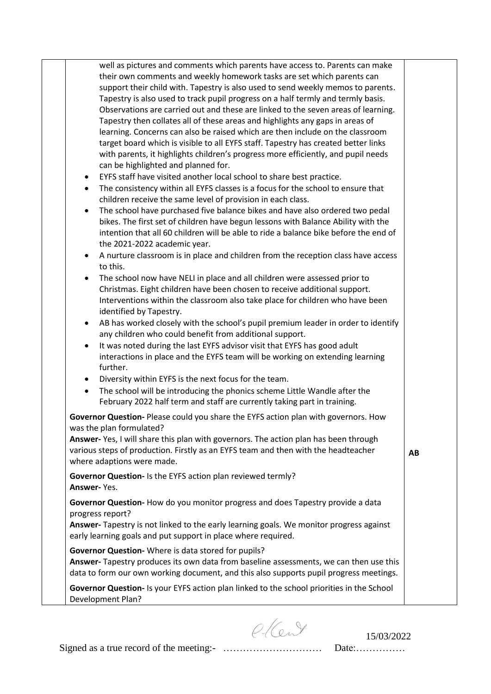| well as pictures and comments which parents have access to. Parents can make<br>their own comments and weekly homework tasks are set which parents can<br>support their child with. Tapestry is also used to send weekly memos to parents.<br>Tapestry is also used to track pupil progress on a half termly and termly basis.<br>Observations are carried out and these are linked to the seven areas of learning.<br>Tapestry then collates all of these areas and highlights any gaps in areas of<br>learning. Concerns can also be raised which are then include on the classroom<br>target board which is visible to all EYFS staff. Tapestry has created better links<br>with parents, it highlights children's progress more efficiently, and pupil needs<br>can be highlighted and planned for.<br>EYFS staff have visited another local school to share best practice.<br>$\bullet$<br>The consistency within all EYFS classes is a focus for the school to ensure that<br>$\bullet$<br>children receive the same level of provision in each class.<br>The school have purchased five balance bikes and have also ordered two pedal<br>$\bullet$<br>bikes. The first set of children have begun lessons with Balance Ability with the<br>intention that all 60 children will be able to ride a balance bike before the end of<br>the 2021-2022 academic year.<br>A nurture classroom is in place and children from the reception class have access<br>$\bullet$<br>to this.<br>The school now have NELI in place and all children were assessed prior to<br>Christmas. Eight children have been chosen to receive additional support.<br>Interventions within the classroom also take place for children who have been<br>identified by Tapestry.<br>AB has worked closely with the school's pupil premium leader in order to identify<br>$\bullet$<br>any children who could benefit from additional support.<br>It was noted during the last EYFS advisor visit that EYFS has good adult<br>$\bullet$<br>interactions in place and the EYFS team will be working on extending learning<br>further.<br>Diversity within EYFS is the next focus for the team.<br>$\bullet$<br>The school will be introducing the phonics scheme Little Wandle after the<br>$\bullet$<br>February 2022 half term and staff are currently taking part in training.<br>Governor Question- Please could you share the EYFS action plan with governors. How<br>was the plan formulated?<br>Answer-Yes, I will share this plan with governors. The action plan has been through<br>various steps of production. Firstly as an EYFS team and then with the headteacher<br>AB<br>where adaptions were made.<br>Governor Question- Is the EYFS action plan reviewed termly?<br>Answer-Yes.<br>Governor Question- How do you monitor progress and does Tapestry provide a data<br>progress report?<br>Answer- Tapestry is not linked to the early learning goals. We monitor progress against<br>early learning goals and put support in place where required.<br>Governor Question- Where is data stored for pupils?<br>Answer-Tapestry produces its own data from baseline assessments, we can then use this<br>data to form our own working document, and this also supports pupil progress meetings.<br>Governor Question- Is your EYFS action plan linked to the school priorities in the School<br>Development Plan? |  |  |
|-----------------------------------------------------------------------------------------------------------------------------------------------------------------------------------------------------------------------------------------------------------------------------------------------------------------------------------------------------------------------------------------------------------------------------------------------------------------------------------------------------------------------------------------------------------------------------------------------------------------------------------------------------------------------------------------------------------------------------------------------------------------------------------------------------------------------------------------------------------------------------------------------------------------------------------------------------------------------------------------------------------------------------------------------------------------------------------------------------------------------------------------------------------------------------------------------------------------------------------------------------------------------------------------------------------------------------------------------------------------------------------------------------------------------------------------------------------------------------------------------------------------------------------------------------------------------------------------------------------------------------------------------------------------------------------------------------------------------------------------------------------------------------------------------------------------------------------------------------------------------------------------------------------------------------------------------------------------------------------------------------------------------------------------------------------------------------------------------------------------------------------------------------------------------------------------------------------------------------------------------------------------------------------------------------------------------------------------------------------------------------------------------------------------------------------------------------------------------------------------------------------------------------------------------------------------------------------------------------------------------------------------------------------------------------------------------------------------------------------------------------------------------------------------------------------------------------------------------------------------------------------------------------------------------------------------------------------------------------------------------------------------------------------------------------------------------------------------------------------------------------------------------------------------------------------------------------------------------------------------------------------------------------------------------------------------------------------------------------------------------------------------------------------|--|--|
|                                                                                                                                                                                                                                                                                                                                                                                                                                                                                                                                                                                                                                                                                                                                                                                                                                                                                                                                                                                                                                                                                                                                                                                                                                                                                                                                                                                                                                                                                                                                                                                                                                                                                                                                                                                                                                                                                                                                                                                                                                                                                                                                                                                                                                                                                                                                                                                                                                                                                                                                                                                                                                                                                                                                                                                                                                                                                                                                                                                                                                                                                                                                                                                                                                                                                                                                                                                                           |  |  |
|                                                                                                                                                                                                                                                                                                                                                                                                                                                                                                                                                                                                                                                                                                                                                                                                                                                                                                                                                                                                                                                                                                                                                                                                                                                                                                                                                                                                                                                                                                                                                                                                                                                                                                                                                                                                                                                                                                                                                                                                                                                                                                                                                                                                                                                                                                                                                                                                                                                                                                                                                                                                                                                                                                                                                                                                                                                                                                                                                                                                                                                                                                                                                                                                                                                                                                                                                                                                           |  |  |
|                                                                                                                                                                                                                                                                                                                                                                                                                                                                                                                                                                                                                                                                                                                                                                                                                                                                                                                                                                                                                                                                                                                                                                                                                                                                                                                                                                                                                                                                                                                                                                                                                                                                                                                                                                                                                                                                                                                                                                                                                                                                                                                                                                                                                                                                                                                                                                                                                                                                                                                                                                                                                                                                                                                                                                                                                                                                                                                                                                                                                                                                                                                                                                                                                                                                                                                                                                                                           |  |  |
|                                                                                                                                                                                                                                                                                                                                                                                                                                                                                                                                                                                                                                                                                                                                                                                                                                                                                                                                                                                                                                                                                                                                                                                                                                                                                                                                                                                                                                                                                                                                                                                                                                                                                                                                                                                                                                                                                                                                                                                                                                                                                                                                                                                                                                                                                                                                                                                                                                                                                                                                                                                                                                                                                                                                                                                                                                                                                                                                                                                                                                                                                                                                                                                                                                                                                                                                                                                                           |  |  |
|                                                                                                                                                                                                                                                                                                                                                                                                                                                                                                                                                                                                                                                                                                                                                                                                                                                                                                                                                                                                                                                                                                                                                                                                                                                                                                                                                                                                                                                                                                                                                                                                                                                                                                                                                                                                                                                                                                                                                                                                                                                                                                                                                                                                                                                                                                                                                                                                                                                                                                                                                                                                                                                                                                                                                                                                                                                                                                                                                                                                                                                                                                                                                                                                                                                                                                                                                                                                           |  |  |
|                                                                                                                                                                                                                                                                                                                                                                                                                                                                                                                                                                                                                                                                                                                                                                                                                                                                                                                                                                                                                                                                                                                                                                                                                                                                                                                                                                                                                                                                                                                                                                                                                                                                                                                                                                                                                                                                                                                                                                                                                                                                                                                                                                                                                                                                                                                                                                                                                                                                                                                                                                                                                                                                                                                                                                                                                                                                                                                                                                                                                                                                                                                                                                                                                                                                                                                                                                                                           |  |  |

 $O([c_1])$  15/03/2022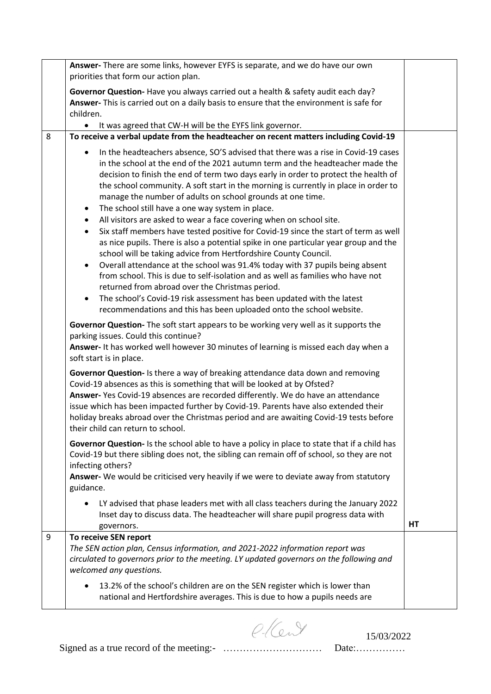|   | Answer- There are some links, however EYFS is separate, and we do have our own<br>priorities that form our action plan.                                                                                                                                                                                                                                                                                                                                                                                                                                                                                                                                                                                                                                                                                                                                                                                                                                                                                                                                                            |    |
|---|------------------------------------------------------------------------------------------------------------------------------------------------------------------------------------------------------------------------------------------------------------------------------------------------------------------------------------------------------------------------------------------------------------------------------------------------------------------------------------------------------------------------------------------------------------------------------------------------------------------------------------------------------------------------------------------------------------------------------------------------------------------------------------------------------------------------------------------------------------------------------------------------------------------------------------------------------------------------------------------------------------------------------------------------------------------------------------|----|
|   | Governor Question- Have you always carried out a health & safety audit each day?<br>Answer- This is carried out on a daily basis to ensure that the environment is safe for<br>children.                                                                                                                                                                                                                                                                                                                                                                                                                                                                                                                                                                                                                                                                                                                                                                                                                                                                                           |    |
|   | It was agreed that CW-H will be the EYFS link governor.<br>$\bullet$                                                                                                                                                                                                                                                                                                                                                                                                                                                                                                                                                                                                                                                                                                                                                                                                                                                                                                                                                                                                               |    |
| 8 | To receive a verbal update from the headteacher on recent matters including Covid-19                                                                                                                                                                                                                                                                                                                                                                                                                                                                                                                                                                                                                                                                                                                                                                                                                                                                                                                                                                                               |    |
|   | In the headteachers absence, SO'S advised that there was a rise in Covid-19 cases<br>$\bullet$<br>in the school at the end of the 2021 autumn term and the headteacher made the<br>decision to finish the end of term two days early in order to protect the health of<br>the school community. A soft start in the morning is currently in place in order to<br>manage the number of adults on school grounds at one time.<br>The school still have a one way system in place.<br>$\bullet$<br>All visitors are asked to wear a face covering when on school site.<br>$\bullet$<br>Six staff members have tested positive for Covid-19 since the start of term as well<br>$\bullet$<br>as nice pupils. There is also a potential spike in one particular year group and the<br>school will be taking advice from Hertfordshire County Council.<br>Overall attendance at the school was 91.4% today with 37 pupils being absent<br>$\bullet$<br>from school. This is due to self-isolation and as well as families who have not<br>returned from abroad over the Christmas period. |    |
|   | The school's Covid-19 risk assessment has been updated with the latest<br>$\bullet$<br>recommendations and this has been uploaded onto the school website.                                                                                                                                                                                                                                                                                                                                                                                                                                                                                                                                                                                                                                                                                                                                                                                                                                                                                                                         |    |
|   | Governor Question-The soft start appears to be working very well as it supports the<br>parking issues. Could this continue?<br>Answer- It has worked well however 30 minutes of learning is missed each day when a<br>soft start is in place.                                                                                                                                                                                                                                                                                                                                                                                                                                                                                                                                                                                                                                                                                                                                                                                                                                      |    |
|   | Governor Question- Is there a way of breaking attendance data down and removing<br>Covid-19 absences as this is something that will be looked at by Ofsted?<br>Answer- Yes Covid-19 absences are recorded differently. We do have an attendance<br>issue which has been impacted further by Covid-19. Parents have also extended their<br>holiday breaks abroad over the Christmas period and are awaiting Covid-19 tests before<br>their child can return to school.                                                                                                                                                                                                                                                                                                                                                                                                                                                                                                                                                                                                              |    |
|   | Governor Question- Is the school able to have a policy in place to state that if a child has<br>Covid-19 but there sibling does not, the sibling can remain off of school, so they are not<br>infecting others?<br>Answer- We would be criticised very heavily if we were to deviate away from statutory<br>guidance.                                                                                                                                                                                                                                                                                                                                                                                                                                                                                                                                                                                                                                                                                                                                                              |    |
|   | LY advised that phase leaders met with all class teachers during the January 2022<br>$\bullet$<br>Inset day to discuss data. The headteacher will share pupil progress data with<br>governors.                                                                                                                                                                                                                                                                                                                                                                                                                                                                                                                                                                                                                                                                                                                                                                                                                                                                                     | HT |
| 9 | To receive SEN report<br>The SEN action plan, Census information, and 2021-2022 information report was<br>circulated to governors prior to the meeting. LY updated governors on the following and<br>welcomed any questions.                                                                                                                                                                                                                                                                                                                                                                                                                                                                                                                                                                                                                                                                                                                                                                                                                                                       |    |
|   | 13.2% of the school's children are on the SEN register which is lower than<br>$\bullet$<br>national and Hertfordshire averages. This is due to how a pupils needs are                                                                                                                                                                                                                                                                                                                                                                                                                                                                                                                                                                                                                                                                                                                                                                                                                                                                                                              |    |

 $0.101$  15/03/2022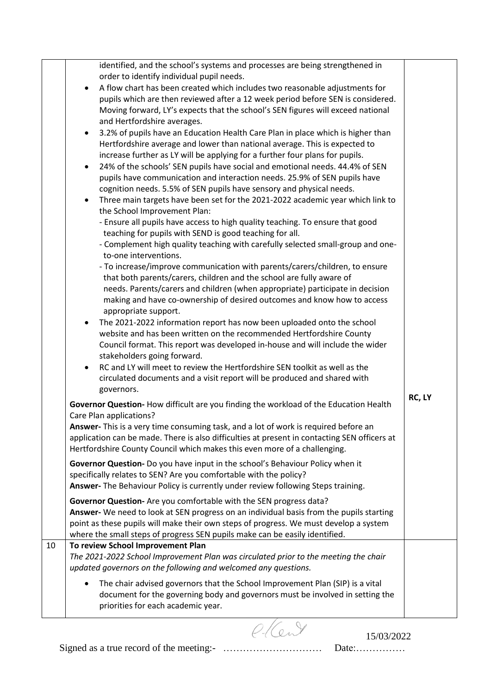| $\bullet$ | identified, and the school's systems and processes are being strengthened in<br>order to identify individual pupil needs.<br>A flow chart has been created which includes two reasonable adjustments for                                                                                                                                                                            |        |
|-----------|-------------------------------------------------------------------------------------------------------------------------------------------------------------------------------------------------------------------------------------------------------------------------------------------------------------------------------------------------------------------------------------|--------|
|           | pupils which are then reviewed after a 12 week period before SEN is considered.<br>Moving forward, LY's expects that the school's SEN figures will exceed national<br>and Hertfordshire averages.                                                                                                                                                                                   |        |
| $\bullet$ | 3.2% of pupils have an Education Health Care Plan in place which is higher than<br>Hertfordshire average and lower than national average. This is expected to<br>increase further as LY will be applying for a further four plans for pupils.                                                                                                                                       |        |
| $\bullet$ | 24% of the schools' SEN pupils have social and emotional needs. 44.4% of SEN<br>pupils have communication and interaction needs. 25.9% of SEN pupils have<br>cognition needs. 5.5% of SEN pupils have sensory and physical needs.                                                                                                                                                   |        |
| $\bullet$ | Three main targets have been set for the 2021-2022 academic year which link to<br>the School Improvement Plan:<br>- Ensure all pupils have access to high quality teaching. To ensure that good                                                                                                                                                                                     |        |
|           | teaching for pupils with SEND is good teaching for all.<br>- Complement high quality teaching with carefully selected small-group and one-<br>to-one interventions.                                                                                                                                                                                                                 |        |
|           | - To increase/improve communication with parents/carers/children, to ensure<br>that both parents/carers, children and the school are fully aware of<br>needs. Parents/carers and children (when appropriate) participate in decision                                                                                                                                                |        |
|           | making and have co-ownership of desired outcomes and know how to access<br>appropriate support.<br>The 2021-2022 information report has now been uploaded onto the school                                                                                                                                                                                                           |        |
|           | website and has been written on the recommended Hertfordshire County<br>Council format. This report was developed in-house and will include the wider<br>stakeholders going forward.                                                                                                                                                                                                |        |
| $\bullet$ | RC and LY will meet to review the Hertfordshire SEN toolkit as well as the<br>circulated documents and a visit report will be produced and shared with<br>governors.                                                                                                                                                                                                                |        |
|           | Governor Question-How difficult are you finding the workload of the Education Health<br>Care Plan applications?<br>Answer- This is a very time consuming task, and a lot of work is required before an<br>application can be made. There is also difficulties at present in contacting SEN officers at<br>Hertfordshire County Council which makes this even more of a challenging. | RC, LY |
|           | Governor Question- Do you have input in the school's Behaviour Policy when it<br>specifically relates to SEN? Are you comfortable with the policy?<br>Answer- The Behaviour Policy is currently under review following Steps training.                                                                                                                                              |        |
|           | Governor Question- Are you comfortable with the SEN progress data?<br>Answer- We need to look at SEN progress on an individual basis from the pupils starting<br>point as these pupils will make their own steps of progress. We must develop a system<br>where the small steps of progress SEN pupils make can be easily identified.                                               |        |
| 10        | To review School Improvement Plan<br>The 2021-2022 School Improvement Plan was circulated prior to the meeting the chair<br>updated governors on the following and welcomed any questions.                                                                                                                                                                                          |        |
| $\bullet$ | The chair advised governors that the School Improvement Plan (SIP) is a vital<br>document for the governing body and governors must be involved in setting the<br>priorities for each academic year.                                                                                                                                                                                |        |
|           |                                                                                                                                                                                                                                                                                                                                                                                     |        |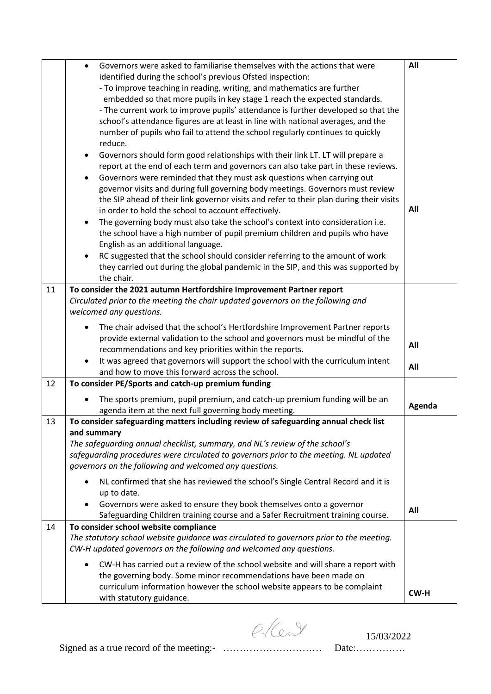|    | Governors were asked to familiarise themselves with the actions that were<br>$\bullet$                                                          | All    |
|----|-------------------------------------------------------------------------------------------------------------------------------------------------|--------|
|    | identified during the school's previous Ofsted inspection:                                                                                      |        |
|    | - To improve teaching in reading, writing, and mathematics are further                                                                          |        |
|    | embedded so that more pupils in key stage 1 reach the expected standards.                                                                       |        |
|    | - The current work to improve pupils' attendance is further developed so that the                                                               |        |
|    | school's attendance figures are at least in line with national averages, and the                                                                |        |
|    | number of pupils who fail to attend the school regularly continues to quickly                                                                   |        |
|    | reduce.                                                                                                                                         |        |
|    | Governors should form good relationships with their link LT. LT will prepare a<br>$\bullet$                                                     |        |
|    | report at the end of each term and governors can also take part in these reviews.                                                               |        |
|    | Governors were reminded that they must ask questions when carrying out                                                                          |        |
|    | governor visits and during full governing body meetings. Governors must review                                                                  |        |
|    | the SIP ahead of their link governor visits and refer to their plan during their visits                                                         |        |
|    | in order to hold the school to account effectively.                                                                                             | All    |
|    | The governing body must also take the school's context into consideration i.e.<br>$\bullet$                                                     |        |
|    | the school have a high number of pupil premium children and pupils who have                                                                     |        |
|    | English as an additional language.                                                                                                              |        |
|    | RC suggested that the school should consider referring to the amount of work                                                                    |        |
|    | they carried out during the global pandemic in the SIP, and this was supported by<br>the chair.                                                 |        |
| 11 | To consider the 2021 autumn Hertfordshire Improvement Partner report                                                                            |        |
|    | Circulated prior to the meeting the chair updated governors on the following and                                                                |        |
|    | welcomed any questions.                                                                                                                         |        |
|    |                                                                                                                                                 |        |
|    | The chair advised that the school's Hertfordshire Improvement Partner reports                                                                   |        |
|    | provide external validation to the school and governors must be mindful of the                                                                  | All    |
|    | recommendations and key priorities within the reports.                                                                                          |        |
|    | It was agreed that governors will support the school with the curriculum intent<br>$\bullet$<br>and how to move this forward across the school. | All    |
| 12 | To consider PE/Sports and catch-up premium funding                                                                                              |        |
|    |                                                                                                                                                 |        |
|    | The sports premium, pupil premium, and catch-up premium funding will be an                                                                      | Agenda |
| 13 | agenda item at the next full governing body meeting.<br>To consider safeguarding matters including review of safeguarding annual check list     |        |
|    | and summary                                                                                                                                     |        |
|    | The safeguarding annual checklist, summary, and NL's review of the school's                                                                     |        |
|    | safeguarding procedures were circulated to governors prior to the meeting. NL updated                                                           |        |
|    | governors on the following and welcomed any questions.                                                                                          |        |
|    |                                                                                                                                                 |        |
|    | NL confirmed that she has reviewed the school's Single Central Record and it is<br>$\bullet$<br>up to date.                                     |        |
|    | Governors were asked to ensure they book themselves onto a governor                                                                             |        |
|    | Safeguarding Children training course and a Safer Recruitment training course.                                                                  | All    |
| 14 | To consider school website compliance                                                                                                           |        |
|    | The statutory school website guidance was circulated to governors prior to the meeting.                                                         |        |
|    | CW-H updated governors on the following and welcomed any questions.                                                                             |        |
|    |                                                                                                                                                 |        |
|    | CW-H has carried out a review of the school website and will share a report with                                                                |        |
|    | the governing body. Some minor recommendations have been made on<br>curriculum information however the school website appears to be complaint   |        |
|    | with statutory guidance.                                                                                                                        | CW-H   |
|    |                                                                                                                                                 |        |

 $0.101$  15/03/2022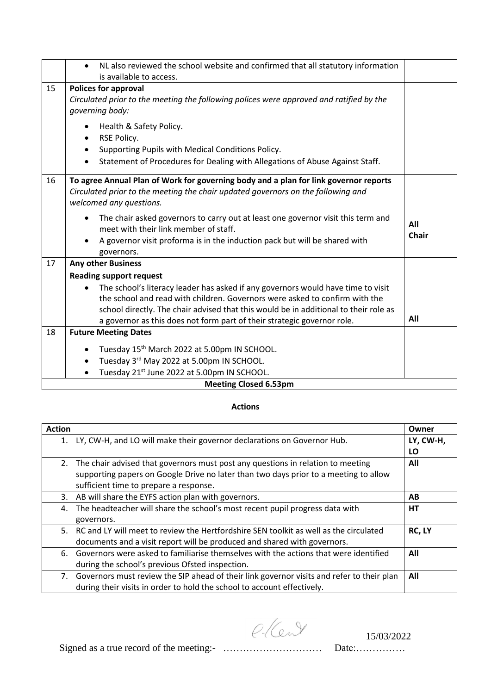|                              | NL also reviewed the school website and confirmed that all statutory information<br>is available to access.                                                                                                                                                                                                                        |                     |
|------------------------------|------------------------------------------------------------------------------------------------------------------------------------------------------------------------------------------------------------------------------------------------------------------------------------------------------------------------------------|---------------------|
| 15                           | <b>Polices for approval</b><br>Circulated prior to the meeting the following polices were approved and ratified by the<br>governing body:                                                                                                                                                                                          |                     |
|                              | Health & Safety Policy.<br>$\bullet$<br>RSE Policy.<br>$\bullet$<br>Supporting Pupils with Medical Conditions Policy.<br>$\bullet$<br>Statement of Procedures for Dealing with Allegations of Abuse Against Staff.                                                                                                                 |                     |
| 16                           | To agree Annual Plan of Work for governing body and a plan for link governor reports<br>Circulated prior to the meeting the chair updated governors on the following and<br>welcomed any questions.                                                                                                                                |                     |
|                              | The chair asked governors to carry out at least one governor visit this term and<br>$\bullet$<br>meet with their link member of staff.<br>A governor visit proforma is in the induction pack but will be shared with<br>governors.                                                                                                 | All<br><b>Chair</b> |
| 17                           | <b>Any other Business</b>                                                                                                                                                                                                                                                                                                          |                     |
|                              | <b>Reading support request</b>                                                                                                                                                                                                                                                                                                     |                     |
|                              | The school's literacy leader has asked if any governors would have time to visit<br>the school and read with children. Governors were asked to confirm with the<br>school directly. The chair advised that this would be in additional to their role as<br>a governor as this does not form part of their strategic governor role. | All                 |
| 18                           | <b>Future Meeting Dates</b>                                                                                                                                                                                                                                                                                                        |                     |
|                              | Tuesday 15 <sup>th</sup> March 2022 at 5.00pm IN SCHOOL.<br>Tuesday 3rd May 2022 at 5.00pm IN SCHOOL.<br>$\bullet$<br>Tuesday 21st June 2022 at 5.00pm IN SCHOOL.                                                                                                                                                                  |                     |
| <b>Meeting Closed 6.53pm</b> |                                                                                                                                                                                                                                                                                                                                    |                     |

## **Actions**

| <b>Action</b> |                                                                                           | Owner     |
|---------------|-------------------------------------------------------------------------------------------|-----------|
|               | 1. LY, CW-H, and LO will make their governor declarations on Governor Hub.                | LY, CW-H, |
|               |                                                                                           | LO        |
|               | 2. The chair advised that governors must post any questions in relation to meeting        | All       |
|               | supporting papers on Google Drive no later than two days prior to a meeting to allow      |           |
|               | sufficient time to prepare a response.                                                    |           |
| 3.            | AB will share the EYFS action plan with governors.                                        | AB        |
| 4.            | The headteacher will share the school's most recent pupil progress data with              | HТ        |
|               | governors.                                                                                |           |
|               | 5. RC and LY will meet to review the Hertfordshire SEN toolkit as well as the circulated  | RC, LY    |
|               | documents and a visit report will be produced and shared with governors.                  |           |
|               | 6. Governors were asked to familiarise themselves with the actions that were identified   | All       |
|               | during the school's previous Ofsted inspection.                                           |           |
| 7.            | Governors must review the SIP ahead of their link governor visits and refer to their plan | All       |
|               | during their visits in order to hold the school to account effectively.                   |           |

C/Cent 15/03/2022